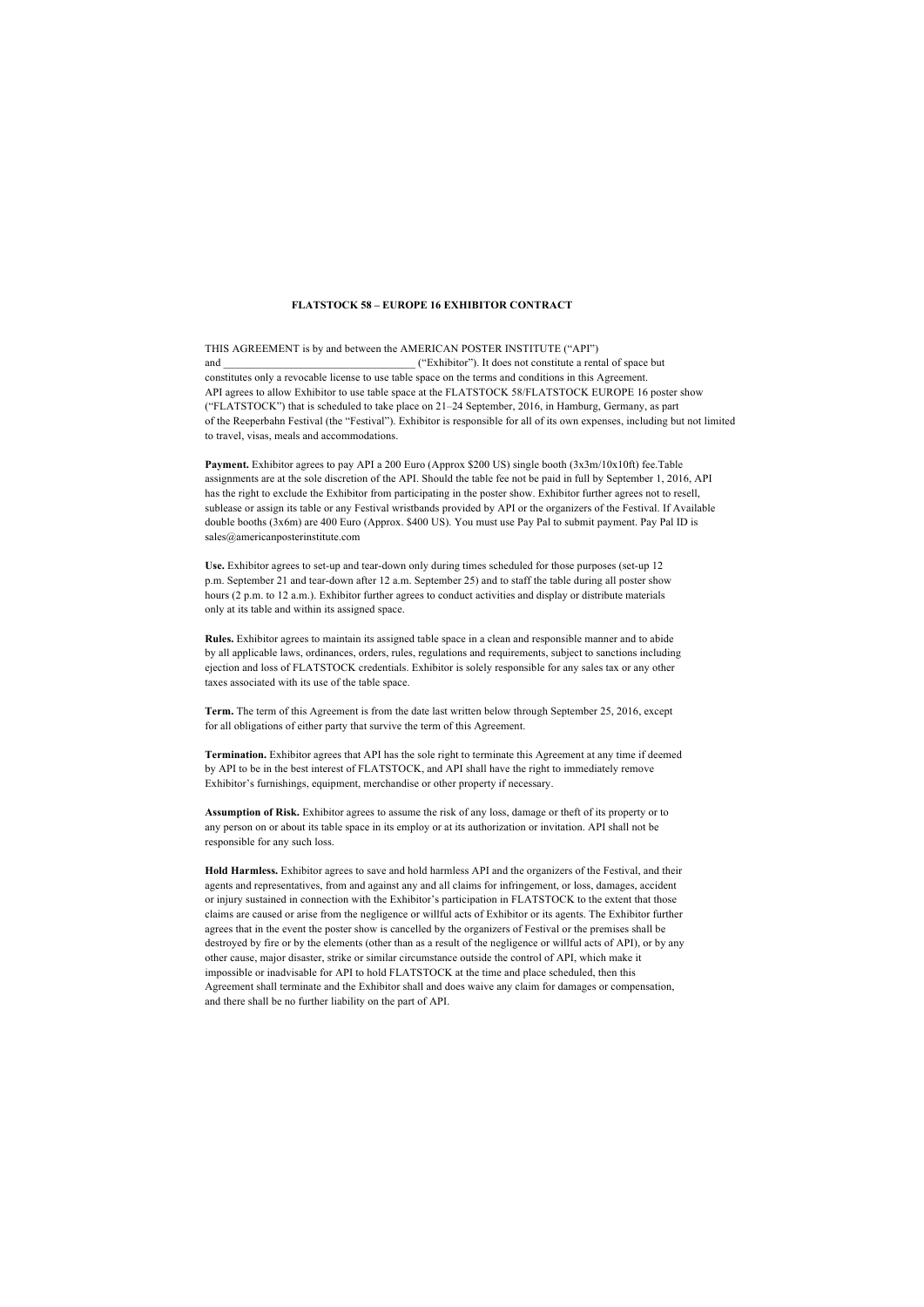## **FLATSTOCK 58 – EUROPE 16 EXHIBITOR CONTRACT**

THIS AGREEMENT is by and between the AMERICAN POSTER INSTITUTE ("API")  $('Exhibitor')$ . It does not constitute a rental of space but constitutes only a revocable license to use table space on the terms and conditions in this Agreement. API agrees to allow Exhibitor to use table space at the FLATSTOCK 58/FLATSTOCK EUROPE 16 poster show ("FLATSTOCK") that is scheduled to take place on 21–24 September, 2016, in Hamburg, Germany, as part of the Reeperbahn Festival (the "Festival"). Exhibitor is responsible for all of its own expenses, including but not limited to travel, visas, meals and accommodations.

**Payment.** Exhibitor agrees to pay API a 200 Euro (Approx \$200 US) single booth (3x3m/10x10ft) fee.Table assignments are at the sole discretion of the API. Should the table fee not be paid in full by September 1, 2016, API has the right to exclude the Exhibitor from participating in the poster show. Exhibitor further agrees not to resell, sublease or assign its table or any Festival wristbands provided by API or the organizers of the Festival. If Available double booths (3x6m) are 400 Euro (Approx. \$400 US). You must use Pay Pal to submit payment. Pay Pal ID is sales@americanposterinstitute.com

**Use.** Exhibitor agrees to set-up and tear-down only during times scheduled for those purposes (set-up 12 p.m. September 21 and tear-down after 12 a.m. September 25) and to staff the table during all poster show hours (2 p.m. to 12 a.m.). Exhibitor further agrees to conduct activities and display or distribute materials only at its table and within its assigned space.

**Rules.** Exhibitor agrees to maintain its assigned table space in a clean and responsible manner and to abide by all applicable laws, ordinances, orders, rules, regulations and requirements, subject to sanctions including ejection and loss of FLATSTOCK credentials. Exhibitor is solely responsible for any sales tax or any other taxes associated with its use of the table space.

**Term.** The term of this Agreement is from the date last written below through September 25, 2016, except for all obligations of either party that survive the term of this Agreement.

**Termination.** Exhibitor agrees that API has the sole right to terminate this Agreement at any time if deemed by API to be in the best interest of FLATSTOCK, and API shall have the right to immediately remove Exhibitor's furnishings, equipment, merchandise or other property if necessary.

**Assumption of Risk.** Exhibitor agrees to assume the risk of any loss, damage or theft of its property or to any person on or about its table space in its employ or at its authorization or invitation. API shall not be responsible for any such loss.

**Hold Harmless.** Exhibitor agrees to save and hold harmless API and the organizers of the Festival, and their agents and representatives, from and against any and all claims for infringement, or loss, damages, accident or injury sustained in connection with the Exhibitor's participation in FLATSTOCK to the extent that those claims are caused or arise from the negligence or willful acts of Exhibitor or its agents. The Exhibitor further agrees that in the event the poster show is cancelled by the organizers of Festival or the premises shall be destroyed by fire or by the elements (other than as a result of the negligence or willful acts of API), or by any other cause, major disaster, strike or similar circumstance outside the control of API, which make it impossible or inadvisable for API to hold FLATSTOCK at the time and place scheduled, then this Agreement shall terminate and the Exhibitor shall and does waive any claim for damages or compensation, and there shall be no further liability on the part of API.